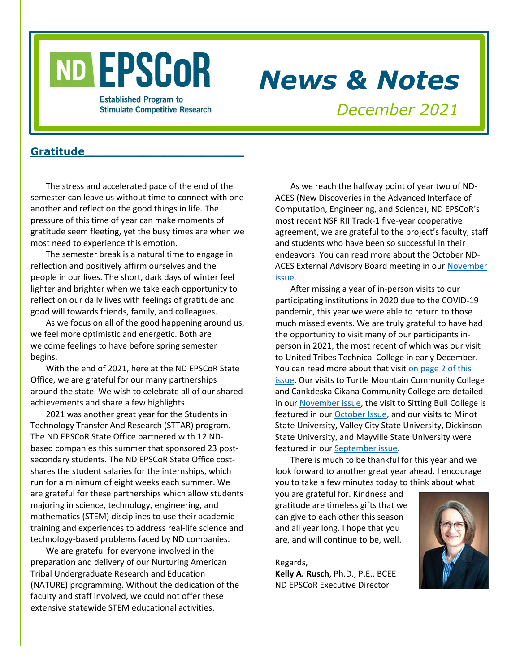

## *News & Notes*

**Established Program to Stimulate Competitive Research** 

## *December 2021*

#### **Gratitude\_\_\_\_\_\_\_\_\_\_\_\_\_\_\_\_\_\_\_\_\_\_**

The stress and accelerated pace of the end of the semester can leave us without time to connect with one another and reflect on the good things in life. The pressure of this time of year can make moments of gratitude seem fleeting, yet the busy times are when we most need to experience this emotion.

The semester break is a natural time to engage in reflection and positively affirm ourselves and the people in our lives. The short, dark days of winter feel lighter and brighter when we take each opportunity to reflect on our daily lives with feelings of gratitude and good will towards friends, family, and colleagues.

As we focus on all of the good happening around us, we feel more optimistic and energetic. Both are welcome feelings to have before spring semester begins.

With the end of 2021, here at the ND EPSCoR State Office, we are grateful for our many partnerships around the state. We wish to celebrate all of our shared achievements and share a few highlights.

2021 was another great year for the Students in Technology Transfer And Research (STTAR) program. The ND EPSCoR State Office partnered with 12 NDbased companies this summer that sponsored 23 postsecondary students. The ND EPSCoR State Office costshares the student salaries for the internships, which run for a minimum of eight weeks each summer. We are grateful for these partnerships which allow students majoring in science, technology, engineering, and mathematics (STEM) disciplines to use their academic training and experiences to address real-life science and technology-based problems faced by ND companies.

We are grateful for everyone involved in the preparation and delivery of our Nurturing American Tribal Undergraduate Research and Education (NATURE) programming. Without the dedication of the faculty and staff involved, we could not offer these extensive statewide STEM educational activities.

As we reach the halfway point of year two of ND-ACES (New Discoveries in the Advanced Interface of Computation, Engineering, and Science), ND EPSCoR's most recent NSF RII Track-1 five-year cooperative agreement, we are grateful to the project's faculty, staff and students who have been so successful in their endeavors. You can read more about the October ND-ACES External Advisory Board meeting in our November [issue.](https://www.ndepscor.ndus.edu/fileadmin/ndus/ndepscor/News_and_Notes_Newsletters/News_and_Notes_Newsletter_2021_November.pdf)

After missing a year of in-person visits to our participating institutions in 2020 due to the COVID-19 pandemic, this year we were able to return to those much missed events. We are truly grateful to have had the opportunity to visit many of our participants inperson in 2021, the most recent of which was our visit to United Tribes Technical College in early December. You can read more about that visit on page 2 of this [issue.](#page-1-0) Our visits to Turtle Mountain Community College and Cankdeska Cikana Community College are detailed in ou[r November issue,](https://www.ndepscor.ndus.edu/fileadmin/ndus/ndepscor/News_and_Notes_Newsletters/News_and_Notes_Newsletter_2021_November.pdf) the visit to Sitting Bull College is featured in our [October Issue,](https://www.ndepscor.ndus.edu/fileadmin/ndus/ndepscor/News_and_Notes_Newsletters/News_and_Notes_Newsletter_2021_October.pdf) and our visits to Minot State University, Valley City State University, Dickinson State University, and Mayville State University were featured in our [September issue.](https://www.ndepscor.ndus.edu/fileadmin/ndus/ndepscor/News_and_Notes_Newsletters/News_and_Notes_Newsletter_2021_September.pdf)

There is much to be thankful for this year and we look forward to another great year ahead. I encourage you to take a few minutes today to think about what

you are grateful for. Kindness and gratitude are timeless gifts that we can give to each other this season and all year long. I hope that you are, and will continue to be, well.

Regards, **Kelly A. Rusch**, Ph.D., P.E., BCEE ND EPSCoR Executive Director

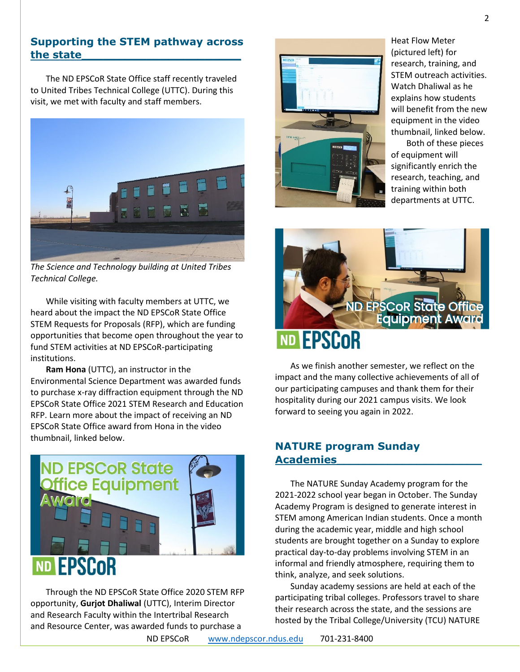#### <span id="page-1-0"></span>**Supporting the STEM pathway across the state\_\_\_\_\_\_\_\_\_\_\_\_\_\_\_\_\_\_\_\_\_\_**

The ND EPSCoR State Office staff recently traveled to United Tribes Technical College (UTTC). During this visit, we met with faculty and staff members.



*The Science and Technology building at United Tribes Technical College.*

While visiting with faculty members at UTTC, we heard about the impact the ND EPSCoR State Office STEM Requests for Proposals (RFP), which are funding opportunities that become open throughout the year to fund STEM activities at ND EPSCoR-participating institutions.

**Ram Hona** (UTTC), an instructor in the Environmental Science Department was awarded funds to purchase x-ray diffraction equipment through the ND EPSCoR State Office 2021 STEM Research and Education RFP. Learn more about the impact of receiving an ND EPSCoR State Office award from Hona in the video thumbnail, linked below.



Through the ND EPSCoR State Office 2020 STEM RFP opportunity, **Gurjot Dhaliwal** (UTTC), Interim Director and Research Faculty within the Intertribal Research and Resource Center, was awarded funds to purchase a



Heat Flow Meter (pictured left) for research, training, and STEM outreach activities. Watch Dhaliwal as he explains how students will benefit from the new equipment in the video thumbnail, linked below.

Both of these pieces of equipment will significantly enrich the research, teaching, and training within both departments at UTTC.



As we finish another semester, we reflect on the impact and the many collective achievements of all of our participating campuses and thank them for their hospitality during our 2021 campus visits. We look forward to seeing you again in 2022.

#### **NATURE program Sunday Academies\_\_\_\_\_\_\_\_\_\_\_\_\_\_\_\_\_\_\_\_**

The NATURE Sunday Academy program for the 2021-2022 school year began in October. The Sunday Academy Program is designed to generate interest in STEM among American Indian students. Once a month during the academic year, middle and high school students are brought together on a Sunday to explore practical day-to-day problems involving STEM in an informal and friendly atmosphere, requiring them to think, analyze, and seek solutions.

Sunday academy sessions are held at each of the participating tribal colleges. Professors travel to share their research across the state, and the sessions are hosted by the Tribal College/University (TCU) NATURE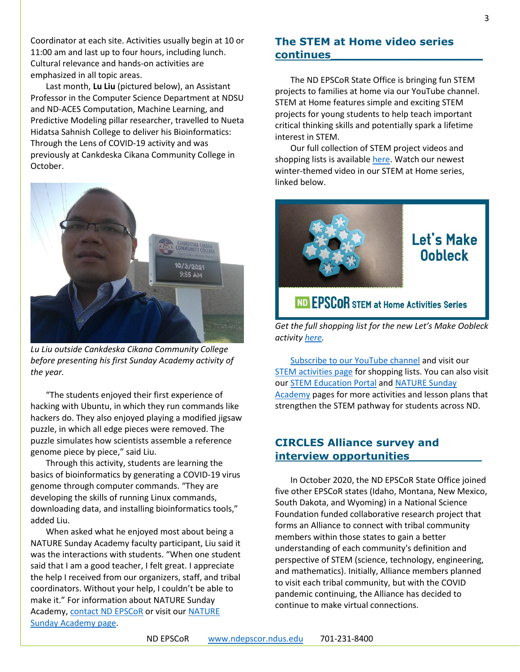Coordinator at each site. Activities usually begin at 10 or 11:00 am and last up to four hours, including lunch. Cultural relevance and hands-on activities are emphasized in all topic areas.

Last month, **Lu Liu** (pictured below), an Assistant Professor in the Computer Science Department at NDSU and ND-ACES Computation, Machine Learning, and Predictive Modeling pillar researcher, travelled to Nueta Hidatsa Sahnish College to deliver his Bioinformatics: Through the Lens of COVID-19 activity and was previously at Cankdeska Cikana Community College in October.



*Lu Liu outside Cankdeska Cikana Community College before presenting his first Sunday Academy activity of the year.*

"The students enjoyed their first experience of hacking with Ubuntu, in which they run commands like hackers do. They also enjoyed playing a modified jigsaw puzzle, in which all edge pieces were removed. The puzzle simulates how scientists assemble a reference genome piece by piece," said Liu.

Through this activity, students are learning the basics of bioinformatics by generating a COVID-19 virus genome through computer commands. "They are developing the skills of running Linux commands, downloading data, and installing bioinformatics tools," added Liu.

When asked what he enjoyed most about being a NATURE Sunday Academy faculty participant, Liu said it was the interactions with students. "When one student said that I am a good teacher, I felt great. I appreciate the help I received from our organizers, staff, and tribal coordinators. Without your help, I couldn't be able to make it." For information about NATURE Sunday Academy[, contact ND EPSCoR](mailto:ndepscor@ndus.edu) or visit ou[r NATURE](https://www.ndepscor.ndus.edu/ndep/nature/sunday-academy/)  [Sunday Academy page.](https://www.ndepscor.ndus.edu/ndep/nature/sunday-academy/)

#### **The STEM at Home video series continues\_\_\_\_\_\_\_\_\_\_\_\_\_\_\_\_\_\_\_\_\_**

The ND EPSCoR State Office is bringing fun STEM projects to families at home via our YouTube channel. STEM at Home features simple and exciting STEM projects for young students to help teach important critical thinking skills and potentially spark a lifetime interest in STEM.

Our full collection of STEM project videos and shopping lists is availabl[e here.](https://www.ndepscor.ndus.edu/ndepscorprograms/stem_at_home_activities/) Watch our newest winter-themed video in our STEM at Home series, linked below.



## ND EPSCOR STEM at Home Activities Series

*Get the full shopping list for the new Let's Make Oobleck activity [here.](https://bit.ly/3DA7hO0)*

[Subscribe to our YouTube channel](https://bit.ly/ndepscorchannel) and visit our [STEM activities page](https://www.ndepscor.ndus.edu/ndepscorprograms/stem_at_home_activities/) for shopping lists. You can also visit our [STEM Education Portal](https://www.ndepscor.ndus.edu/stem_education/stem_education_portal/) and [NATURE Sunday](https://www.ndepscor.ndus.edu/ndep/nature/sunday-academy/)  [Academy](https://www.ndepscor.ndus.edu/ndep/nature/sunday-academy/) pages for more activities and lesson plans that strengthen the STEM pathway for students across ND.

#### **CIRCLES Alliance survey and interview opportunities\_\_\_\_\_\_\_\_\_\_**

In October 2020, the ND EPSCoR State Office joined five other EPSCoR states (Idaho, Montana, New Mexico, South Dakota, and Wyoming) in a National Science Foundation funded collaborative research project that forms an Alliance to connect with tribal community members within those states to gain a better understanding of each community's definition and perspective of STEM (science, technology, engineering, and mathematics). Initially, Alliance members planned to visit each tribal community, but with the COVID pandemic continuing, the Alliance has decided to continue to make virtual connections.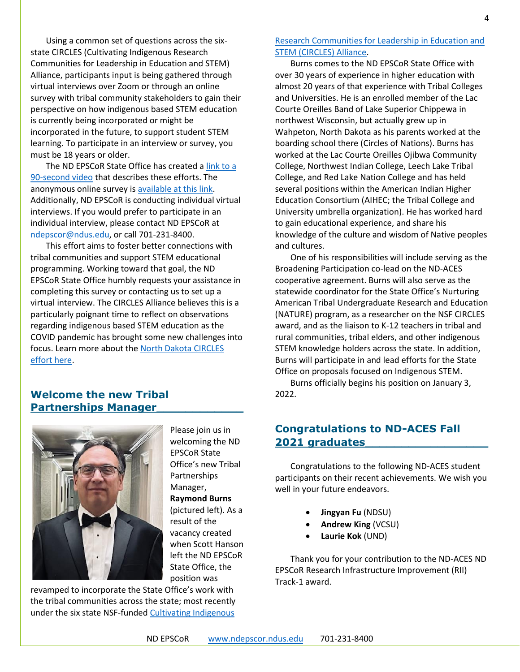Using a common set of questions across the sixstate CIRCLES (Cultivating Indigenous Research Communities for Leadership in Education and STEM) Alliance, participants input is being gathered through virtual interviews over Zoom or through an online survey with tribal community stakeholders to gain their perspective on how indigenous based STEM education is currently being incorporated or might be incorporated in the future, to support student STEM learning. To participate in an interview or survey, you must be 18 years or older.

The ND EPSCoR State Office has created [a link to a](http://bit.ly/circlesalliance)  [90-second video](http://bit.ly/circlesalliance) that describes these efforts. The anonymous online survey is [available at this link.](https://ndstate.co1.qualtrics.com/jfe/form/SV_0vtVlLFJlzwWH2Z) Additionally, ND EPSCoR is conducting individual virtual interviews. If you would prefer to participate in an individual interview, please contact ND EPSCoR at [ndepscor@ndus.edu,](mailto:ndepscor@ndus.edu) or call 701-231-8400.

This effort aims to foster better connections with tribal communities and support STEM educational programming. Working toward that goal, the ND EPSCoR State Office humbly requests your assistance in completing this survey or contacting us to set up a virtual interview. The CIRCLES Alliance believes this is a particularly poignant time to reflect on observations regarding indigenous based STEM education as the COVID pandemic has brought some new challenges into focus. Learn more about the [North Dakota CIRCLES](https://www.ndepscor.ndus.edu/ndepscorprograms/circles_alliance_prime_institution_umt_2020_2022/)  [effort here.](https://www.ndepscor.ndus.edu/ndepscorprograms/circles_alliance_prime_institution_umt_2020_2022/)

#### **Welcome the new Tribal Partnerships Manager\_\_\_\_\_\_\_\_\_\_\_\_**



Please join us in welcoming the ND EPSCoR State Office's new Tribal Partnerships Manager, **Raymond Burns** (pictured left). As a result of the vacancy created when Scott Hanson left the ND EPSCoR State Office, the position was

revamped to incorporate the State Office's work with the tribal communities across the state; most recently under the six state NSF-funde[d Cultivating Indigenous](https://www.ndepscor.ndus.edu/ndepscorprograms/circles_alliance_prime_institution_umt_2020_2022/) 

[Research Communities for Leadership in Education and](https://www.ndepscor.ndus.edu/ndepscorprograms/circles_alliance_prime_institution_umt_2020_2022/)  [STEM \(CIRCLES\) Alliance.](https://www.ndepscor.ndus.edu/ndepscorprograms/circles_alliance_prime_institution_umt_2020_2022/)

Burns comes to the ND EPSCoR State Office with over 30 years of experience in higher education with almost 20 years of that experience with Tribal Colleges and Universities. He is an enrolled member of the Lac Courte Oreilles Band of Lake Superior Chippewa in northwest Wisconsin, but actually grew up in Wahpeton, North Dakota as his parents worked at the boarding school there (Circles of Nations). Burns has worked at the Lac Courte Oreilles Ojibwa Community College, Northwest Indian College, Leech Lake Tribal College, and Red Lake Nation College and has held several positions within the American Indian Higher Education Consortium (AIHEC; the Tribal College and University umbrella organization). He has worked hard to gain educational experience, and share his knowledge of the culture and wisdom of Native peoples and cultures.

One of his responsibilities will include serving as the Broadening Participation co-lead on the ND-ACES cooperative agreement. Burns will also serve as the statewide coordinator for the State Office's Nurturing American Tribal Undergraduate Research and Education (NATURE) program, as a researcher on the NSF CIRCLES award, and as the liaison to K-12 teachers in tribal and rural communities, tribal elders, and other indigenous STEM knowledge holders across the state. In addition, Burns will participate in and lead efforts for the State Office on proposals focused on Indigenous STEM.

Burns officially begins his position on January 3, 2022.

#### **Congratulations to ND-ACES Fall 2021 graduates\_\_\_\_\_\_\_\_\_\_\_\_\_\_\_\_\_**

Congratulations to the following ND-ACES student participants on their recent achievements. We wish you well in your future endeavors.

- **Jingyan Fu** (NDSU)
- **Andrew King** (VCSU)
- **Laurie Kok** (UND)

Thank you for your contribution to the ND-ACES ND EPSCoR Research Infrastructure Improvement (RII) Track-1 award.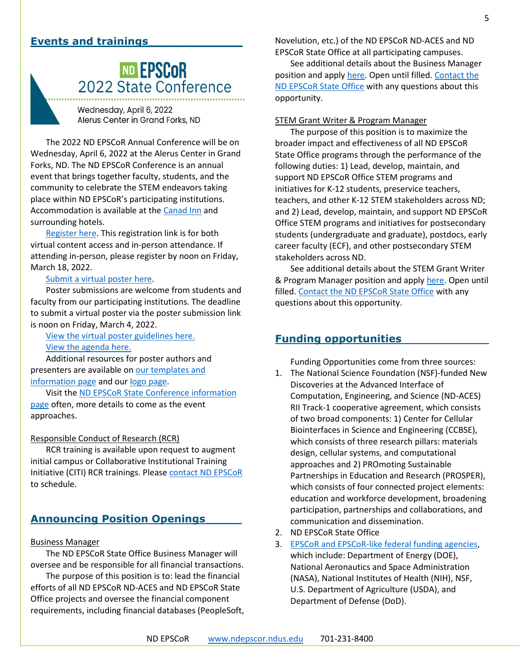#### **Events and trainings\_\_\_\_\_\_\_\_\_\_\_\_\_**

# **ND EPSCOR**<br>2022 State Conference

Wednesday, April 6, 2022 Alerus Center in Grand Forks, ND

The 2022 ND EPSCoR Annual Conference will be on Wednesday, April 6, 2022 at the Alerus Center in Grand Forks, ND. The ND EPSCoR Conference is an annual event that brings together faculty, students, and the community to celebrate the STEM endeavors taking place within ND EPSCoR's participating institutions. Accommodation is available at th[e Canad Inn](https://www.canadinns.com/stay/grand-forks/) and surrounding hotels.

[Register here.](https://symposium.foragerone.com/nd-epscor-2022-state-conference/register) This registration link is for both virtual content access and in-person attendance. If attending in-person, please register by noon on Friday, March 18, 2022.

#### [Submit a virtual poster here.](https://symposium.foragerone.com/nd-epscor-2022-state-conference/submission)

Poster submissions are welcome from students and faculty from our participating institutions. The deadline to submit a virtual poster via the poster submission link is noon on Friday, March 4, 2022.

[View the virtual poster guidelines here.](https://www.ndepscor.ndus.edu/fileadmin/ndus/ndepscor/State_Conference/Poster_Submission_Guidelines_2022.pdf) [View the agenda here.](https://www.ndepscor.ndus.edu/fileadmin/ndus/ndepscor/State_Conference/2022_ND_EPSCoR_State_Conference_Agenda.pdf)

Additional resources for poster authors and presenters are available o[n our templates and](https://www.ndepscor.ndus.edu/resources/)  [information page](https://www.ndepscor.ndus.edu/resources/) and our [logo page.](https://www.ndepscor.ndus.edu/resources/helpful-resources/poster-logos/)

Visit the [ND EPSCoR State Conference information](https://www.ndepscor.ndus.edu/news/nd_epscor_state_conf/)  [page](https://www.ndepscor.ndus.edu/news/nd_epscor_state_conf/) often, more details to come as the event approaches.

#### Responsible Conduct of Research (RCR)

RCR training is available upon request to augment initial campus or Collaborative Institutional Training Initiative (CITI) RCR trainings. Please [contact ND EPSCoR](mailto:ndepscor@ndus.edu) to schedule.

#### **Announcing Position Openings\_\_\_\_\_**

#### Business Manager

The ND EPSCoR State Office Business Manager will oversee and be responsible for all financial transactions.

The purpose of this position is to: lead the financial efforts of all ND EPSCoR ND-ACES and ND EPSCoR State Office projects and oversee the financial component requirements, including financial databases (PeopleSoft, Novelution, etc.) of the ND EPSCoR ND-ACES and ND EPSCoR State Office at all participating campuses.

See additional details about the Business Manager position and apply [here.](https://prd.hcm.ndus.edu/psc/recruit/EMPLOYEE/HRMS/c/HRS_HRAM_FL.HRS_CG_SEARCH_FL.GBL?Page=HRS_APP_JBPST_FL&Action=U&FOCUS=Applicant&SiteId=1&JobOpeningId=2937432&PostingSeq=1) Open until filled[. Contact the](mailto:ndepscor@ndus.edu)  [ND EPSCoR State Office](mailto:ndepscor@ndus.edu) with any questions about this opportunity.

#### STEM Grant Writer & Program Manager

The purpose of this position is to maximize the broader impact and effectiveness of all ND EPSCoR State Office programs through the performance of the following duties: 1) Lead, develop, maintain, and support ND EPSCoR Office STEM programs and initiatives for K-12 students, preservice teachers, teachers, and other K-12 STEM stakeholders across ND; and 2) Lead, develop, maintain, and support ND EPSCoR Office STEM programs and initiatives for postsecondary students (undergraduate and graduate), postdocs, early career faculty (ECF), and other postsecondary STEM stakeholders across ND.

See additional details about the STEM Grant Writer & Program Manager position and apply [here.](https://prd.hcm.ndus.edu/psc/recruit/EMPLOYEE/HRMS/c/HRS_HRAM_FL.HRS_CG_SEARCH_FL.GBL?Page=HRS_APP_JBPST_FL&Action=U&FOCUS=Applicant&SiteId=1&JobOpeningId=2936747&PostingSeq=1) Open until filled[. Contact the ND EPSCoR State Office](mailto:ndepscor@ndus.edu) with any questions about this opportunity.

#### **Funding opportunities**

Funding Opportunities come from three sources:

- 1. The National Science Foundation (NSF)-funded New Discoveries at the Advanced Interface of Computation, Engineering, and Science (ND-ACES) RII Track-1 cooperative agreement, which consists of two broad components: 1) Center for Cellular Biointerfaces in Science and Engineering (CCBSE), which consists of three research pillars: materials design, cellular systems, and computational approaches and 2) PROmoting Sustainable Partnerships in Education and Research (PROSPER), which consists of four connected project elements: education and workforce development, broadening participation, partnerships and collaborations, and communication and dissemination.
- 2. ND EPSCoR State Office
- 3. [EPSCoR and EPSCoR-like federal funding agencies,](https://www.nsf.gov/od/oia/programs/epscor/nsf_oiia_epscor_epscor_eicc.jsp) which include: Department of Energy (DOE), National Aeronautics and Space Administration (NASA), National Institutes of Health (NIH), NSF, U.S. Department of Agriculture (USDA), and Department of Defense (DoD).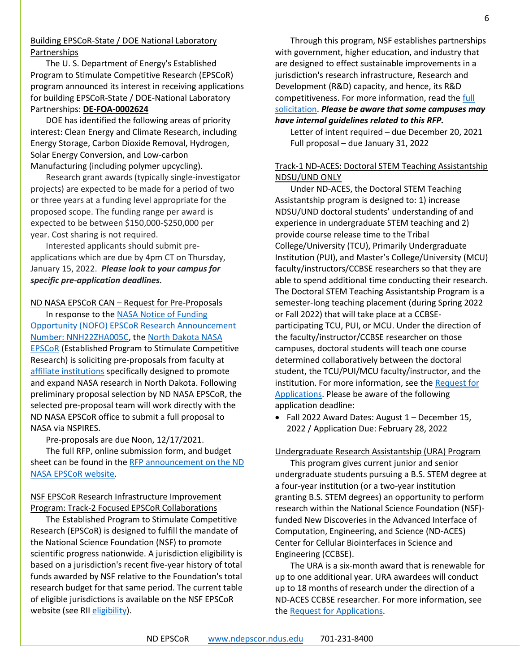#### Building EPSCoR-State / DOE National Laboratory Partnerships

The U. S. Department of Energy's Established Program to Stimulate Competitive Research (EPSCoR) program announced its interest in receiving applications for building EPSCoR-State / DOE-National Laboratory Partnerships: **[DE-FOA-0002624](https://www.grants.gov/web/grants/view-opportunity.html?oppId=336862)**

DOE has identified the following areas of priority interest: Clean Energy and Climate Research, including Energy Storage, Carbon Dioxide Removal, Hydrogen, Solar Energy Conversion, and Low-carbon Manufacturing (including polymer upcycling).

Research grant awards (typically single-investigator projects) are expected to be made for a period of two or three years at a funding level appropriate for the proposed scope. The funding range per award is expected to be between \$150,000-\$250,000 per year. Cost sharing is not required.

Interested applicants should submit preapplications which are due by 4pm CT on Thursday, January 15, 2022. *Please look to your campus for specific pre-application deadlines.*

ND NASA EPSCoR CAN – Request for Pre-Proposals

In response to the **NASA Notice of Funding** [Opportunity \(NOFO\) EPSCoR Research Announcement](https://nspires.nasaprs.com/external/viewrepositorydocument/cmdocumentid=851382/solicitationId=%7BEE6E1291-277C-E9E7-49C3-14C2E384620D%7D/viewSolicitationDocument=1/2022%20Research%20NOFO%20EPSCoR_Final-11-2021.pdf)  [Number: NNH22ZHA005C,](https://nspires.nasaprs.com/external/viewrepositorydocument/cmdocumentid=851382/solicitationId=%7BEE6E1291-277C-E9E7-49C3-14C2E384620D%7D/viewSolicitationDocument=1/2022%20Research%20NOFO%20EPSCoR_Final-11-2021.pdf) the [North Dakota NASA](https://ndnasaepscor.und.edu/)  [EPSCoR](https://ndnasaepscor.und.edu/) (Established Program to Stimulate Competitive Research) is soliciting pre-proposals from faculty at [affiliate institutions](https://ndnasaepscor.und.edu/about/affiliate-members.html) specifically designed to promote and expand NASA research in North Dakota. Following preliminary proposal selection by ND NASA EPSCoR, the selected pre-proposal team will work directly with the ND NASA EPSCoR office to submit a full proposal to NASA via NSPIRES.

Pre-proposals are due Noon, 12/17/2021.

The full RFP, online submission form, and budget sheet can be found in the [RFP announcement on the ND](http://blogs.und.edu/jdosas/2021/11/nd-nasa-epscor-can-rfp-fall-21/)  [NASA EPSCoR website.](http://blogs.und.edu/jdosas/2021/11/nd-nasa-epscor-can-rfp-fall-21/)

#### NSF EPSCoR Research Infrastructure Improvement Program: Track-2 Focused EPSCoR Collaborations

The Established Program to Stimulate Competitive Research (EPSCoR) is designed to fulfill the mandate of the National Science Foundation (NSF) to promote scientific progress nationwide. A jurisdiction eligibility is based on a jurisdiction's recent five-year history of total funds awarded by NSF relative to the Foundation's total research budget for that same period. The current table of eligible jurisdictions is available on the NSF EPSCoR website (see RI[I eligibility\)](https://www.nsf.gov/od/oia/programs/epscor/Eligibility_Tables/FY2021_Eligibility.pdf).

Through this program, NSF establishes partnerships with government, higher education, and industry that are designed to effect sustainable improvements in a jurisdiction's research infrastructure, Research and Development (R&D) capacity, and hence, its R&D competitiveness. For more information, read th[e full](https://www.nsf.gov/pubs/2022/nsf22523/nsf22523.pdf)  [solicitation.](https://www.nsf.gov/pubs/2022/nsf22523/nsf22523.pdf) *Please be aware that some campuses may have internal guidelines related to this RFP.*

Letter of intent required – due December 20, 2021 Full proposal – due January 31, 2022

#### Track-1 ND-ACES: Doctoral STEM Teaching Assistantship NDSU/UND ONLY

Under ND-ACES, the Doctoral STEM Teaching Assistantship program is designed to: 1) increase NDSU/UND doctoral students' understanding of and experience in undergraduate STEM teaching and 2) provide course release time to the Tribal College/University (TCU), Primarily Undergraduate Institution (PUI), and Master's College/University (MCU) faculty/instructors/CCBSE researchers so that they are able to spend additional time conducting their research. The Doctoral STEM Teaching Assistantship Program is a semester-long teaching placement (during Spring 2022 or Fall 2022) that will take place at a CCBSEparticipating TCU, PUI, or MCU. Under the direction of the faculty/instructor/CCBSE researcher on those campuses, doctoral students will teach one course determined collaboratively between the doctoral student, the TCU/PUI/MCU faculty/instructor, and the institution. For more information, see the [Request for](https://www.ndepscor.ndus.edu/fileadmin/ndus/ndepscor/STEM/STEM_Teaching_Asst._2021.pdf)  [Applications.](https://www.ndepscor.ndus.edu/fileadmin/ndus/ndepscor/STEM/STEM_Teaching_Asst._2021.pdf) Please be aware of the following application deadline:

• Fall 2022 Award Dates: August 1 – December 15, 2022 / Application Due: February 28, 2022

#### Undergraduate Research Assistantship (URA) Program

This program gives current junior and senior undergraduate students pursuing a B.S. STEM degree at a four-year institution (or a two-year institution granting B.S. STEM degrees) an opportunity to perform research within the National Science Foundation (NSF) funded New Discoveries in the Advanced Interface of Computation, Engineering, and Science (ND-ACES) Center for Cellular Biointerfaces in Science and Engineering (CCBSE).

The URA is a six-month award that is renewable for up to one additional year. URA awardees will conduct up to 18 months of research under the direction of a ND-ACES CCBSE researcher. For more information, see th[e Request for Applications.](https://www.ndepscor.ndus.edu/fileadmin/ndus/ndepscor/Undergraduate_Research_Assistantship/URA_2022.23RFA_reopened.pdf)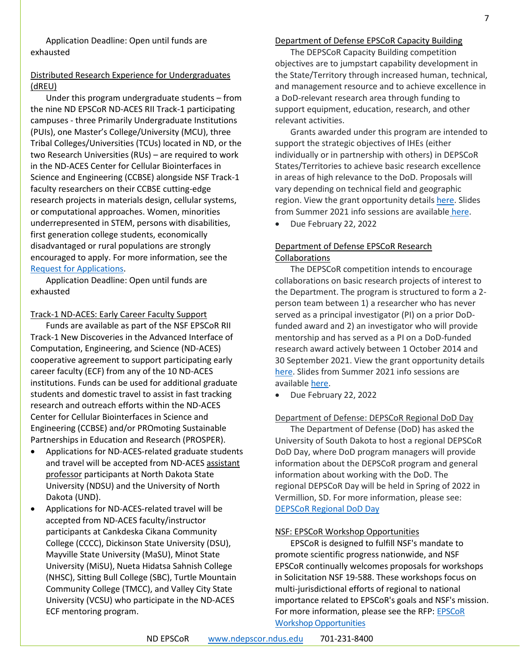Application Deadline: Open until funds are exhausted

#### Distributed Research Experience for Undergraduates (dREU)

Under this program undergraduate students – from the nine ND EPSCoR ND-ACES RII Track-1 participating campuses - three Primarily Undergraduate Institutions (PUIs), one Master's College/University (MCU), three Tribal Colleges/Universities (TCUs) located in ND, or the two Research Universities (RUs) – are required to work in the ND-ACES Center for Cellular Biointerfaces in Science and Engineering (CCBSE) alongside NSF Track-1 faculty researchers on their CCBSE cutting-edge research projects in materials design, cellular systems, or computational approaches. Women, minorities underrepresented in STEM, persons with disabilities, first generation college students, economically disadvantaged or rural populations are strongly encouraged to apply. For more information, see the [Request for Applications.](https://www.ndepscor.ndus.edu/fileadmin/ndus/ndepscor/REU/2021REURFAfinal_reopened.pdf)

Application Deadline: Open until funds are exhausted

#### Track-1 ND-ACES: Early Career Faculty Support

Funds are available as part of the NSF EPSCoR RII Track-1 New Discoveries in the Advanced Interface of Computation, Engineering, and Science (ND-ACES) cooperative agreement to support participating early career faculty (ECF) from any of the 10 ND-ACES institutions. Funds can be used for additional graduate students and domestic travel to assist in fast tracking research and outreach efforts within the ND-ACES Center for Cellular Biointerfaces in Science and Engineering (CCBSE) and/or PROmoting Sustainable Partnerships in Education and Research (PROSPER).

- Applications for ND-ACES-related graduate students and travel will be accepted from ND-ACES assistant professor participants at North Dakota State University (NDSU) and the University of North Dakota (UND).
- Applications for ND-ACES-related travel will be accepted from ND-ACES faculty/instructor participants at Cankdeska Cikana Community College (CCCC), Dickinson State University (DSU), Mayville State University (MaSU), Minot State University (MiSU), Nueta Hidatsa Sahnish College (NHSC), Sitting Bull College (SBC), Turtle Mountain Community College (TMCC), and Valley City State University (VCSU) who participate in the ND-ACES ECF mentoring program.

#### Department of Defense EPSCoR Capacity Building

The DEPSCoR Capacity Building competition objectives are to jumpstart capability development in the State/Territory through increased human, technical, and management resource and to achieve excellence in a DoD-relevant research area through funding to support equipment, education, research, and other relevant activities.

Grants awarded under this program are intended to support the strategic objectives of IHEs (either individually or in partnership with others) in DEPSCoR States/Territories to achieve basic research excellence in areas of high relevance to the DoD. Proposals will vary depending on technical field and geographic region. View the grant opportunity details [here.](https://epscorideafoundation.us1.list-manage.com/track/click?u=54d669391232b23bf15d1a89f&id=66c86fc795&e=e5e9efddb6) Slides from Summer 2021 info sessions are available [here.](https://epscorideafoundation.us1.list-manage.com/track/click?u=54d669391232b23bf15d1a89f&id=9cb850104f&e=e5e9efddb6)

• Due February 22, 2022

#### Department of Defense EPSCoR Research Collaborations

The DEPSCoR competition intends to encourage collaborations on basic research projects of interest to the Department. The program is structured to form a 2 person team between 1) a researcher who has never served as a principal investigator (PI) on a prior DoDfunded award and 2) an investigator who will provide mentorship and has served as a PI on a DoD-funded research award actively between 1 October 2014 and 30 September 2021. View the grant opportunity details [here.](https://www.grants.gov/web/grants/view-opportunity.html?oppId=333421) Slides from Summer 2021 info sessions are available [here.](https://epscorideafoundation.us1.list-manage.com/track/click?u=54d669391232b23bf15d1a89f&id=9cb850104f&e=e5e9efddb6)

• Due February 22, 2022

#### Department of Defense: DEPSCoR Regional DoD Day

The Department of Defense (DoD) has asked the University of South Dakota to host a regional DEPSCoR DoD Day, where DoD program managers will provide information about the DEPSCoR program and general information about working with the DoD. The regional DEPSCoR Day will be held in Spring of 2022 in Vermillion, SD. For more information, please see: [DEPSCoR Regional DoD Day](https://www.usd.edu/research/depscor-dod-day)

#### NSF: EPSCoR Workshop Opportunities

EPSCoR is designed to fulfill NSF's mandate to promote scientific progress nationwide, and NSF EPSCoR continually welcomes proposals for workshops in Solicitation NSF 19-588. These workshops focus on multi-jurisdictional efforts of regional to national importance related to EPSCoR's goals and NSF's mission. For more information, please see the RFP: EPSCoR [Workshop Opportunities](https://www.nsf.gov/pubs/2019/nsf19588/nsf19588.pdf)